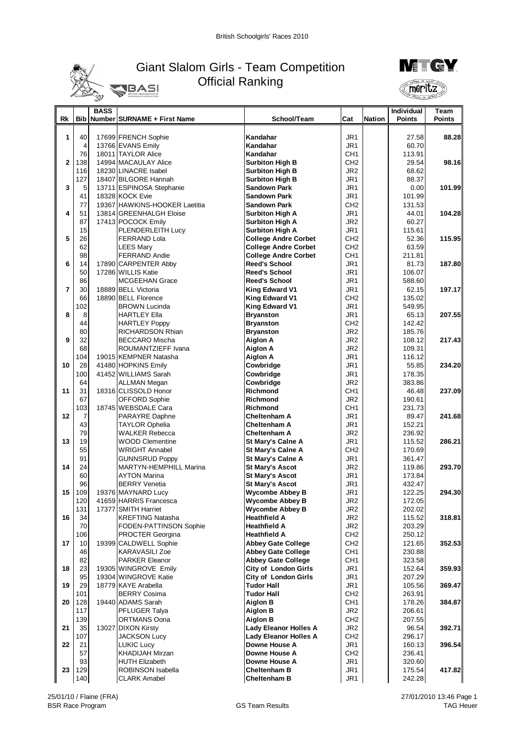

## Giant Slalom Girls - Team Competition Official Ranking **BASI**



|                |                  | <b>BASS</b> |                               |                              |                 |        | Individual    | Team          |
|----------------|------------------|-------------|-------------------------------|------------------------------|-----------------|--------|---------------|---------------|
| Rk             | <b>Bib</b>       |             | Number SURNAME + First Name   | School/Team                  | Cat             | Nation | <b>Points</b> | <b>Points</b> |
|                |                  |             |                               |                              |                 |        |               |               |
| 1              | 40               |             | 17699 FRENCH Sophie           | Kandahar                     | JR1             |        | 27.58         | 88.28         |
|                | $\overline{4}$   |             | 13766 EVANS Emily             | Kandahar                     | JR <sub>1</sub> |        | 60.70         |               |
|                | 76               |             | 18011 TAYLOR Alice            | Kandahar                     | CH <sub>1</sub> |        | 113.91        |               |
| $\overline{2}$ | 138              |             | 14994 MACAULAY Alice          | <b>Surbiton High B</b>       | CH <sub>2</sub> |        | 29.54         | 98.16         |
|                | 116              |             | 18230 LINACRE Isabel          | <b>Surbiton High B</b>       | JR <sub>2</sub> |        | 68.62         |               |
|                | 127              |             | 18407 BILGORE Hannah          | <b>Surbiton High B</b>       | JR1             |        | 88.37         |               |
| 3              | 5                |             | 13711 ESPINOSA Stephanie      | <b>Sandown Park</b>          | JR <sub>1</sub> |        | 0.00          | 101.99        |
|                | 41               |             | 18328 KOCK Evie               | <b>Sandown Park</b>          | JR <sub>1</sub> |        | 101.99        |               |
|                | 77               |             | 19367 HAWKINS-HOOKER Laetitia | <b>Sandown Park</b>          | CH <sub>2</sub> |        | 131.53        |               |
| 4              | 51               |             | 13814 GREENHALGH Eloise       | <b>Surbiton High A</b>       | JR1             |        | 44.01         | 104.28        |
|                | 87               |             | 17413 POCOCK Emily            | <b>Surbiton High A</b>       | JR <sub>2</sub> |        | 60.27         |               |
|                | 15               |             | PLENDERLEITH Lucy             | <b>Surbiton High A</b>       | JR1             |        | 115.61        |               |
| 5              | 26               |             | <b>FERRAND Lola</b>           | <b>College Andre Corbet</b>  | CH <sub>2</sub> |        | 52.36         | 115.95        |
|                | 62               |             | <b>LEES Mary</b>              | <b>College Andre Corbet</b>  | CH <sub>2</sub> |        | 63.59         |               |
|                | 98               |             | <b>FERRAND Andie</b>          | <b>College Andre Corbet</b>  | CH <sub>1</sub> |        | 211.81        |               |
| 6              | 14               |             | 17890 CARPENTER Abby          | <b>Reed's School</b>         | JR1             |        | 81.73         | 187.80        |
|                | 50               |             | 17286 WILLIS Katie            | <b>Reed's School</b>         | JR <sub>1</sub> |        | 106.07        |               |
|                | 86               |             | <b>MCGEEHAN Grace</b>         | <b>Reed's School</b>         | JR1             |        | 588.60        |               |
| $\overline{7}$ | 30               |             | 18889 BELL Victoria           | King Edward V1               | JR1             |        | 62.15         | 197.17        |
|                | 66               |             | 18890 BELL Florence           | King Edward V1               | CH <sub>2</sub> |        | 135.02        |               |
|                | 102              |             | <b>BROWN Lucinda</b>          | <b>King Edward V1</b>        | JR1             |        | 549.95        |               |
| 8              | 8                |             | <b>HARTLEY Ella</b>           | <b>Bryanston</b>             | JR <sub>1</sub> |        | 65.13         | 207.55        |
|                | 44               |             | <b>HARTLEY Poppy</b>          | <b>Bryanston</b>             | CH <sub>2</sub> |        | 142.42        |               |
|                | 80               |             | RICHARDSON Rhian              | <b>Bryanston</b>             | JR <sub>2</sub> |        | 185.76        |               |
| 9              | 32               |             | <b>BECCARO Mischa</b>         | Aiglon A                     | JR <sub>2</sub> |        | 108.12        | 217.43        |
|                | 68               |             | ROUMANTZIEFF Ivana            | <b>Aiglon A</b>              | JR <sub>2</sub> |        | 109.31        |               |
|                | 104              |             | 19015 KEMPNER Natasha         | <b>Aiglon A</b>              | JR1             |        | 116.12        |               |
| 10             | 28               |             | 41480 HOPKINS Emily           | Cowbridge                    | JR1             |        | 55.85         | 234.20        |
|                | 100              |             | 41452 WILLIAMS Sarah          | Cowbridge                    | JR1             |        | 178.35        |               |
|                | 64               |             | ALLMAN Megan                  | Cowbridge                    | JR <sub>2</sub> |        | 383.86        |               |
| 11             | 31               |             | 18316 CLISSOLD Honor          | Richmond                     | CH <sub>1</sub> |        | 46.48         | 237.09        |
|                | 67               |             | <b>OFFORD Sophie</b>          | <b>Richmond</b>              | JR <sub>2</sub> |        | 190.61        |               |
|                | 103              |             | 18745 WEBSDALE Cara           | Richmond                     | CH1             |        | 231.73        |               |
| 12             | $\overline{7}$   |             | PARAYRE Daphne                | <b>Cheltenham A</b>          | JR1             |        | 89.47         | 241.68        |
|                | 43               |             | TAYLOR Ophelia                | <b>Cheltenham A</b>          | JR1             |        | 152.21        |               |
|                | 79               |             | <b>WALKER Rebecca</b>         | <b>Cheltenham A</b>          | JR <sub>2</sub> |        | 236.92        |               |
| 13             | 19               |             | <b>WOOD Clementine</b>        | St Mary's Calne A            | JR1             |        | 115.52        | 286.21        |
|                | 55               |             | <b>WRIGHT Annabel</b>         | St Mary's Calne A            | CH <sub>2</sub> |        | 170.69        |               |
|                | 91               |             | <b>GUNNSRUD Poppy</b>         | St Mary's Calne A            | JR <sub>1</sub> |        | 361.47        |               |
| 14             | 24               |             | MARTYN-HEMPHILL Marina        | <b>St Mary's Ascot</b>       | JR <sub>2</sub> |        | 119.86        | 293.70        |
|                | 60               |             | <b>AYTON Marina</b>           | <b>St Mary's Ascot</b>       | JR1             |        | 173.84        |               |
|                | 96               |             | <b>BERRY Venetia</b>          | <b>St Mary's Ascot</b>       | JR <sub>1</sub> |        | 432.47        |               |
| 15             | 109              |             | 19376 MAYNARD Lucy            | <b>Wycombe Abbey B</b>       | JR1             |        | 122.25        | 294.30        |
|                | 120 <sup>1</sup> |             | 41659 HARRIS Francesca        | <b>Wycombe Abbey B</b>       | JR <sub>2</sub> |        | 172.05        |               |
|                | 131              |             | 17377 SMITH Harriet           | <b>Wycombe Abbey B</b>       | JR <sub>2</sub> |        | 202.02        |               |
| 16             | 34               |             | <b>KREFTING Natasha</b>       | <b>Heathfield A</b>          | JR2             |        | 115.52        | 318.81        |
|                | 70               |             | FODEN-PATTINSON Sophie        | <b>Heathfield A</b>          | JR <sub>2</sub> |        | 203.29        |               |
|                | 106              |             | <b>PROCTER Georgina</b>       | <b>Heathfield A</b>          | CH <sub>2</sub> |        | 250.12        |               |
| 17             | 10               |             | 19399 CALDWELL Sophie         | <b>Abbey Gate College</b>    | CH2             |        | 121.65        | 352.53        |
|                | 46               |             | <b>KARAVASILI Zoe</b>         | <b>Abbey Gate College</b>    | CH <sub>1</sub> |        | 230.88        |               |
|                | 82               |             | <b>PARKER Eleanor</b>         | <b>Abbey Gate College</b>    | CH1             |        | 323.58        |               |
| 18             | 23               |             | 19305 WINGROVE Emily          | <b>City of London Girls</b>  | JR1             |        | 152.64        | 359.93        |
|                | 95               |             | 19304 WINGROVE Katie          | <b>City of London Girls</b>  | JR1             |        | 207.29        |               |
| 19             | 29               |             | 18779 KAYE Arabella           | <b>Tudor Hall</b>            | JR1             |        | 105.56        | 369.47        |
|                | 101              |             | <b>BERRY Cosima</b>           | Tudor Hall                   | CH <sub>2</sub> |        | 263.91        |               |
| 20             | 128              |             | 19440 ADAMS Sarah             | Aiglon B                     | CH1             |        | 178.26        | 384.87        |
|                | 117              |             | PFLUGER Talya                 | Aiglon B                     | JR <sub>2</sub> |        | 206.61        |               |
|                | 139              |             | ORTMANS Oona                  | Aiglon B                     | CH <sub>2</sub> |        | 207.55        |               |
| 21             | 35               |             | 13027 DIXON Kirsty            | <b>Lady Eleanor Holles A</b> | JR <sub>2</sub> |        | 96.54         | 392.71        |
|                | 107              |             | <b>JACKSON Lucy</b>           | <b>Lady Eleanor Holles A</b> | CH <sub>2</sub> |        | 296.17        |               |
| 22             | 21               |             | <b>LUKIC Lucy</b>             | Downe House A                | JR1             |        | 160.13        | 396.54        |
|                | 57               |             | <b>KHADIJAH Mirzan</b>        | Downe House A                | CH <sub>2</sub> |        | 236.41        |               |
|                | 93               |             | <b>HUTH Elizabeth</b>         | Downe House A                | JR1             |        | 320.60        |               |
| 23             | 129              |             | ROBINSON Isabella             | <b>Cheltenham B</b>          | JR1             |        | 175.54        | 417.82        |
|                | 140              |             | <b>CLARK Amabel</b>           | <b>Cheltenham B</b>          | JR1             |        | 242.28        |               |
|                |                  |             |                               |                              |                 |        |               |               |